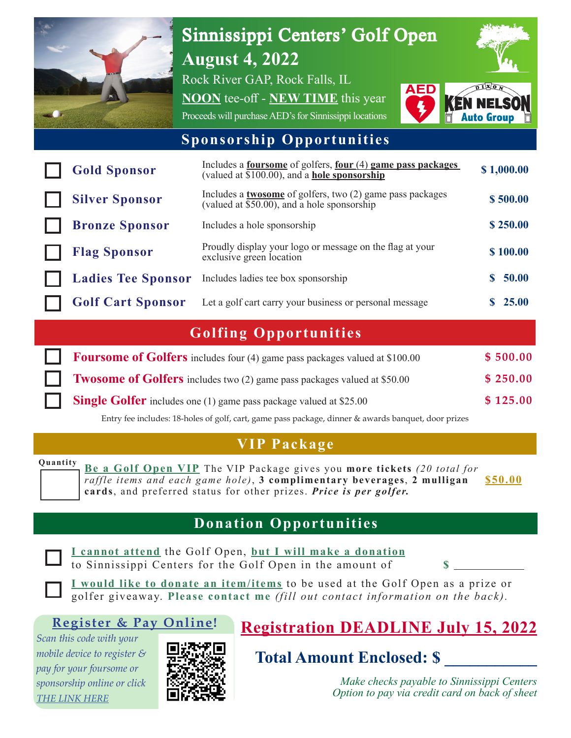

# Sinnissippi Centers' Golf Open **August 4, 2022**

Rock River GAP, Rock Falls, IL

**NOON** tee-off - **NEW TIME** this year Proceeds will purchase AED's for Sinnissippi locations



#### **Sponsorship Opportunities**

| <b>Gold Sponsor</b>       | Includes a <b>four some</b> of golfers, <b>four</b> $(4)$ <b>game pass packages</b><br>(valued at \$100.00), and a <b>hole sponsorship</b> | \$1,000.00 |
|---------------------------|--------------------------------------------------------------------------------------------------------------------------------------------|------------|
| <b>Silver Sponsor</b>     | Includes a <b>twosome</b> of golfers, two (2) game pass packages<br>(valued at $\sqrt[5]{50.00}$ ), and a hole sponsorship                 | \$500.00   |
| <b>Bronze Sponsor</b>     | Includes a hole sponsorship                                                                                                                | \$250.00   |
| <b>Flag Sponsor</b>       | Proudly display your logo or message on the flag at your<br>exclusive green location                                                       | \$100.00   |
| <b>Ladies Tee Sponsor</b> | Includes ladies tee box sponsorship                                                                                                        | 50.00      |
| <b>Golf Cart Sponsor</b>  | Let a golf cart carry your business or personal message                                                                                    | \$25.00    |

### **Golfing Opportunities**

| <b>Foursome of Golfers</b> includes four (4) game pass packages valued at \$100.00 | \$500.00 |
|------------------------------------------------------------------------------------|----------|
| <b>Twosome of Golfers</b> includes two (2) game pass packages valued at \$50.00    | \$250.00 |
| <b>Single Golfer</b> includes one (1) game pass package valued at \$25.00          | \$125.00 |

Entry fee includes: 18-holes of golf, cart, game pass package, dinner & awards banquet, door prizes

#### **VIP Package**

**Quantity Be a Golf Open VIP** The VIP Package gives you **more tickets** *(20 total for raffle items and each game hole)*, **3 complimentary beverages**, **2 mulligan cards**, and preferred status for other prizes. *Price is per golfer.*

**\$50.00**

#### **Donation Opportunities**

**I cannot attend** the Golf Open, **but I will make a donation**  to Sinnissippi Centers for the Golf Open in the amount of **\$**

**I would like to donate an item/items** to be used at the Golf Open as a prize or golfer giveaway. **Please contact me** *(fill out contact information on the back).*

#### **Register & Pay Online!**

*Scan this code with your mobile device to register & pay for your foursome or sponsorship online or click [THE LINK HER](http://weblink.donorperfect.com/Sinnissippi_Golf_Open)E*



## **Registration DEADLINE July 15, 2022**

 **Total Amount Enclosed: \$ \_\_\_\_\_\_\_\_\_\_\_**

*Make checks payable to Sinnissippi Centers Option to pay via credit card on back of sheet*